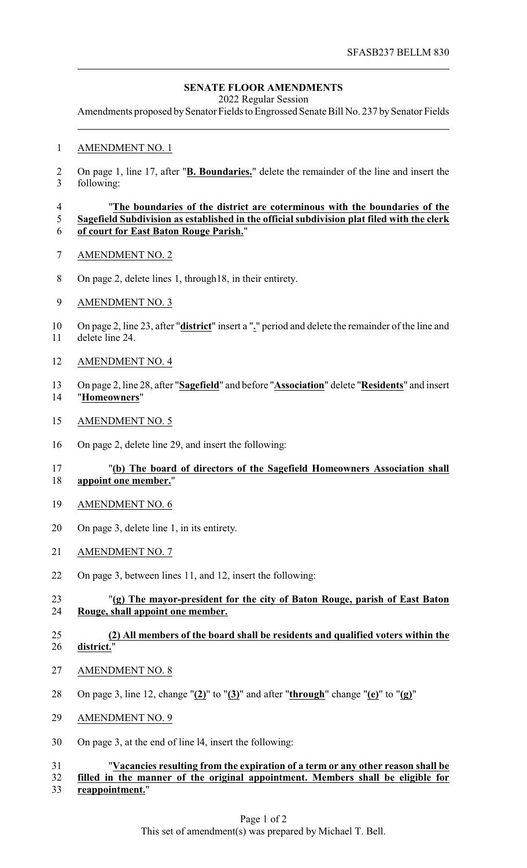## **SENATE FLOOR AMENDMENTS**

2022 Regular Session

Amendments proposed by Senator Fields to Engrossed Senate Bill No. 237 by Senator Fields

### AMENDMENT NO. 1

 On page 1, line 17, after "**B. Boundaries.**" delete the remainder of the line and insert the following:

#### "**The boundaries of the district are coterminous with the boundaries of the Sagefield Subdivision as established in the official subdivision plat filed with the clerk of court for East Baton Rouge Parish.**"

- AMENDMENT NO. 2
- On page 2, delete lines 1, through18, in their entirety.
- AMENDMENT NO. 3
- On page 2, line 23, after "**district**" insert a "**.**" period and delete the remainder of the line and delete line 24.
- AMENDMENT NO. 4
- On page 2, line 28, after "**Sagefield**" and before "**Association**" delete "**Residents**" and insert "**Homeowners**"
- AMENDMENT NO. 5
- On page 2, delete line 29, and insert the following:

## "**(b) The board of directors of the Sagefield Homeowners Association shall appoint one member.**"

- AMENDMENT NO. 6
- On page 3, delete line 1, in its entirety.
- AMENDMENT NO. 7
- On page 3, between lines 11, and 12, insert the following:

## "**(g) The mayor-president for the city of Baton Rouge, parish of East Baton Rouge, shall appoint one member.**

#### **(2) All members of the board shall be residents and qualified voters within the district.**"

- AMENDMENT NO. 8
- On page 3, line 12, change "**(2)**" to "**(3)**" and after "**through**" change "**(e)**" to "**(g)**"
- AMENDMENT NO. 9
- On page 3, at the end of line l4, insert the following:

# "**Vacancies resulting from the expiration of a term or any other reason shall be filled in the manner of the original appointment. Members shall be eligible for**

**reappointment.**"